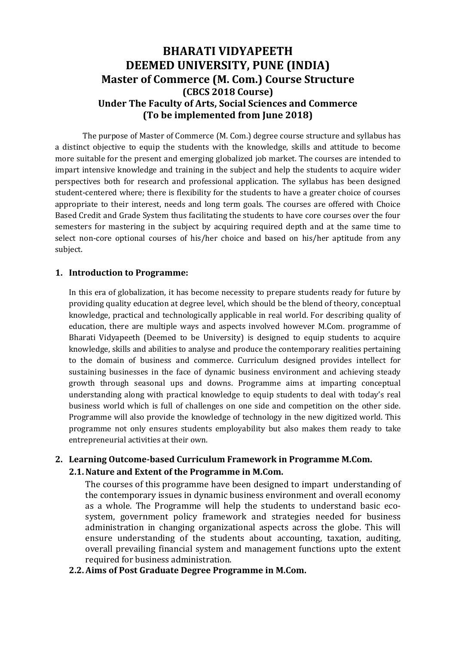# **BHARATI VIDYAPEETH DEEMED UNIVERSITY, PUNE (INDIA) Master of Commerce (M. Com.) Course Structure (CBCS 2018 Course) Under The Faculty of Arts, Social Sciences and Commerce (To be implemented from June 2018)**

The purpose of Master of Commerce (M. Com.) degree course structure and syllabus has a distinct objective to equip the students with the knowledge, skills and attitude to become more suitable for the present and emerging globalized job market. The courses are intended to impart intensive knowledge and training in the subject and help the students to acquire wider perspectives both for research and professional application. The syllabus has been designed student-centered where; there is flexibility for the students to have a greater choice of courses appropriate to their interest, needs and long term goals. The courses are offered with Choice Based Credit and Grade System thus facilitating the students to have core courses over the four semesters for mastering in the subject by acquiring required depth and at the same time to select non-core optional courses of his/her choice and based on his/her aptitude from any subject.

### **1. Introduction to Programme:**

In this era of globalization, it has become necessity to prepare students ready for future by providing quality education at degree level, which should be the blend of theory, conceptual knowledge, practical and technologically applicable in real world. For describing quality of education, there are multiple ways and aspects involved however M.Com. programme of Bharati Vidyapeeth (Deemed to be University) is designed to equip students to acquire knowledge, skills and abilities to analyse and produce the contemporary realities pertaining to the domain of business and commerce. Curriculum designed provides intellect for sustaining businesses in the face of dynamic business environment and achieving steady growth through seasonal ups and downs. Programme aims at imparting conceptual understanding along with practical knowledge to equip students to deal with today's real business world which is full of challenges on one side and competition on the other side. Programme will also provide the knowledge of technology in the new digitized world. This programme not only ensures students employability but also makes them ready to take entrepreneurial activities at their own.

## **2. Learning Outcome-based Curriculum Framework in Programme M.Com.**

## **2.1.Nature and Extent of the Programme in M.Com.**

The courses of this programme have been designed to impart understanding of the contemporary issues in dynamic business environment and overall economy as a whole. The Programme will help the students to understand basic ecosystem, government policy framework and strategies needed for business administration in changing organizational aspects across the globe. This will ensure understanding of the students about accounting, taxation, auditing, overall prevailing financial system and management functions upto the extent required for business administration.

## **2.2.Aims of Post Graduate Degree Programme in M.Com.**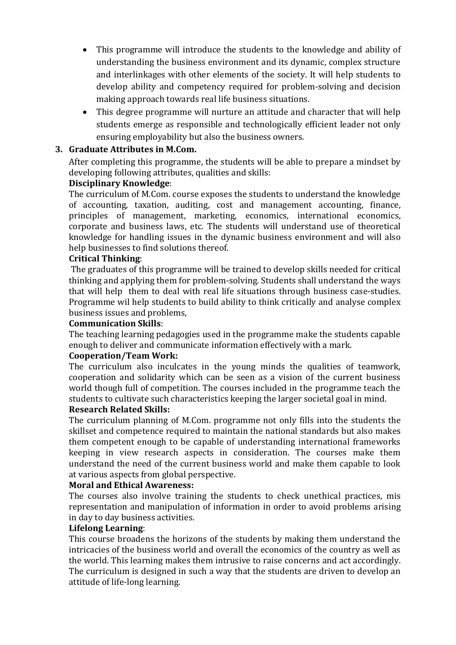- This programme will introduce the students to the knowledge and ability of understanding the business environment and its dynamic, complex structure and interlinkages with other elements of the society. It will help students to develop ability and competency required for problem-solving and decision making approach towards real life business situations.
- This degree programme will nurture an attitude and character that will help students emerge as responsible and technologically efficient leader not only ensuring employability but also the business owners.

## **3. Graduate Attributes in M.Com.**

After completing this programme, the students will be able to prepare a mindset by developing following attributes, qualities and skills:

## **Disciplinary Knowledge**:

The curriculum of M.Com. course exposes the students to understand the knowledge of accounting, taxation, auditing, cost and management accounting, finance, principles of management, marketing, economics, international economics, corporate and business laws, etc. The students will understand use of theoretical knowledge for handling issues in the dynamic business environment and will also help businesses to find solutions thereof.

## **Critical Thinking**:

The graduates of this programme will be trained to develop skills needed for critical thinking and applying them for problem-solving. Students shall understand the ways that will help them to deal with real life situations through business case-studies. Programme wil help students to build ability to think critically and analyse complex business issues and problems,

## **Communication Skills**:

The teaching learning pedagogies used in the programme make the students capable enough to deliver and communicate information effectively with a mark.

## **Cooperation/Team Work:**

The curriculum also inculcates in the young minds the qualities of teamwork, cooperation and solidarity which can be seen as a vision of the current business world though full of competition. The courses included in the programme teach the students to cultivate such characteristics keeping the larger societal goal in mind.

## **Research Related Skills:**

The curriculum planning of M.Com. programme not only fills into the students the skillset and competence required to maintain the national standards but also makes them competent enough to be capable of understanding international frameworks keeping in view research aspects in consideration. The courses make them understand the need of the current business world and make them capable to look at various aspects from global perspective.

## **Moral and Ethical Awareness:**

The courses also involve training the students to check unethical practices, mis representation and manipulation of information in order to avoid problems arising in day to day business activities.

## **Lifelong Learning**:

This course broadens the horizons of the students by making them understand the intricacies of the business world and overall the economics of the country as well as the world. This learning makes them intrusive to raise concerns and act accordingly. The curriculum is designed in such a way that the students are driven to develop an attitude of life-long learning.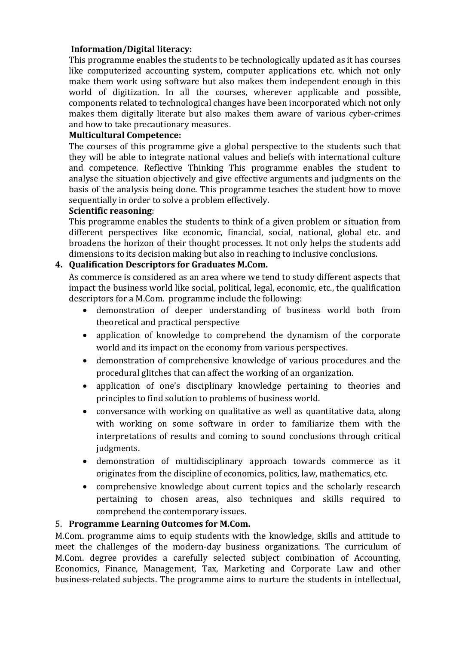## **Information/Digital literacy:**

This programme enables the students to be technologically updated as it has courses like computerized accounting system, computer applications etc. which not only make them work using software but also makes them independent enough in this world of digitization. In all the courses, wherever applicable and possible, components related to technological changes have been incorporated which not only makes them digitally literate but also makes them aware of various cyber-crimes and how to take precautionary measures.

## **Multicultural Competence:**

The courses of this programme give a global perspective to the students such that they will be able to integrate national values and beliefs with international culture and competence. Reflective Thinking This programme enables the student to analyse the situation objectively and give effective arguments and judgments on the basis of the analysis being done. This programme teaches the student how to move sequentially in order to solve a problem effectively.

## **Scientific reasoning**:

This programme enables the students to think of a given problem or situation from different perspectives like economic, financial, social, national, global etc. and broadens the horizon of their thought processes. It not only helps the students add dimensions to its decision making but also in reaching to inclusive conclusions.

## **4. Qualification Descriptors for Graduates M.Com.**

As commerce is considered as an area where we tend to study different aspects that impact the business world like social, political, legal, economic, etc., the qualification descriptors for a M.Com. programme include the following:

- demonstration of deeper understanding of business world both from theoretical and practical perspective
- application of knowledge to comprehend the dynamism of the corporate world and its impact on the economy from various perspectives.
- demonstration of comprehensive knowledge of various procedures and the procedural glitches that can affect the working of an organization.
- application of one's disciplinary knowledge pertaining to theories and principles to find solution to problems of business world.
- conversance with working on qualitative as well as quantitative data, along with working on some software in order to familiarize them with the interpretations of results and coming to sound conclusions through critical judgments.
- demonstration of multidisciplinary approach towards commerce as it originates from the discipline of economics, politics, law, mathematics, etc.
- comprehensive knowledge about current topics and the scholarly research pertaining to chosen areas, also techniques and skills required to comprehend the contemporary issues.

## 5. **Programme Learning Outcomes for M.Com.**

M.Com. programme aims to equip students with the knowledge, skills and attitude to meet the challenges of the modern-day business organizations. The curriculum of M.Com. degree provides a carefully selected subject combination of Accounting, Economics, Finance, Management, Tax, Marketing and Corporate Law and other business-related subjects. The programme aims to nurture the students in intellectual,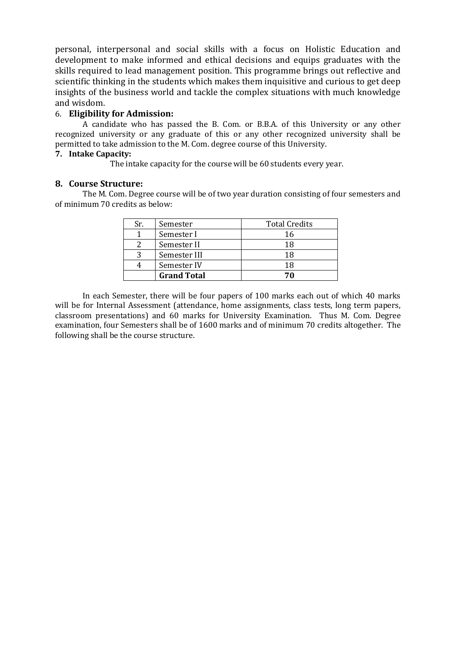personal, interpersonal and social skills with a focus on Holistic Education and development to make informed and ethical decisions and equips graduates with the skills required to lead management position. This programme brings out reflective and scientific thinking in the students which makes them inquisitive and curious to get deep insights of the business world and tackle the complex situations with much knowledge and wisdom.

## 6. **Eligibility for Admission:**

A candidate who has passed the B. Com. or B.B.A. of this University or any other recognized university or any graduate of this or any other recognized university shall be permitted to take admission to the M. Com. degree course of this University.

### **7. Intake Capacity:**

The intake capacity for the course will be 60 students every year.

#### **8. Course Structure:**

The M. Com. Degree course will be of two year duration consisting of four semesters and of minimum 70 credits as below:

| Sr. | Semester           | <b>Total Credits</b> |
|-----|--------------------|----------------------|
|     | Semester I         | 16                   |
|     | Semester II        | 18                   |
|     | Semester III       | 18                   |
|     | Semester IV        | 18                   |
|     | <b>Grand Total</b> |                      |

In each Semester, there will be four papers of 100 marks each out of which 40 marks will be for Internal Assessment (attendance, home assignments, class tests, long term papers, classroom presentations) and 60 marks for University Examination. Thus M. Com. Degree examination, four Semesters shall be of 1600 marks and of minimum 70 credits altogether. The following shall be the course structure.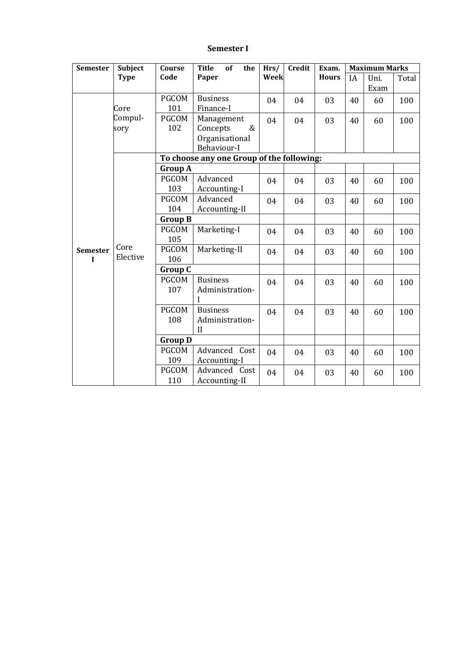### **Semester I**

| <b>Semester</b>                | <b>Subject</b>   | Course              | <b>Title</b><br>of<br>the                          | Hrs/ | <b>Credit</b> | Exam.        |    | <b>Maximum Marks</b> |       |
|--------------------------------|------------------|---------------------|----------------------------------------------------|------|---------------|--------------|----|----------------------|-------|
|                                | <b>Type</b>      | Code                | Paper                                              | Week |               | <b>Hours</b> | IA | Uni.<br>Exam         | Total |
|                                | Core             | <b>PGCOM</b><br>101 | <b>Business</b><br>Finance-I                       | 04   | 04            | 03           | 40 | 60                   | 100   |
|                                | Compul-<br>sory  | <b>PGCOM</b><br>102 | Management<br>Concepts<br>$\&$                     | 04   | 04            | 03           | 40 | 60                   | 100   |
|                                |                  |                     | Organisational<br>Behaviour-I                      |      |               |              |    |                      |       |
|                                |                  |                     | To choose any one Group of the following:          |      |               |              |    |                      |       |
|                                |                  | <b>Group A</b>      |                                                    |      |               |              |    |                      |       |
|                                |                  | <b>PGCOM</b><br>103 | Advanced<br>Accounting-I                           | 04   | 04            | 03           | 40 | 60                   | 100   |
|                                | Core<br>Elective | <b>PGCOM</b><br>104 | Advanced<br>Accounting-II                          | 04   | 04            | 03           | 40 | 60                   | 100   |
|                                |                  | <b>Group B</b>      |                                                    |      |               |              |    |                      |       |
|                                |                  | PGCOM<br>105        | Marketing-I                                        | 04   | 04            | 03           | 40 | 60                   | 100   |
| <b>Semester</b><br>$\mathbf I$ |                  | <b>PGCOM</b><br>106 | Marketing-II                                       | 04   | 04            | 03           | 40 | 60                   | 100   |
|                                |                  | <b>Group C</b>      |                                                    |      |               |              |    |                      |       |
|                                |                  | <b>PGCOM</b><br>107 | <b>Business</b><br>Administration-                 | 04   | 04            | 03           | 40 | 60                   | 100   |
|                                |                  | <b>PGCOM</b><br>108 | <b>Business</b><br>Administration-<br>$\mathbf{I}$ | 04   | 04            | 03           | 40 | 60                   | 100   |
|                                |                  | <b>Group D</b>      |                                                    |      |               |              |    |                      |       |
|                                |                  | <b>PGCOM</b><br>109 | Advanced Cost<br>Accounting-I                      | 04   | 04            | 03           | 40 | 60                   | 100   |
|                                |                  | <b>PGCOM</b><br>110 | Advanced Cost<br>Accounting-II                     | 04   | 04            | 03           | 40 | 60                   | 100   |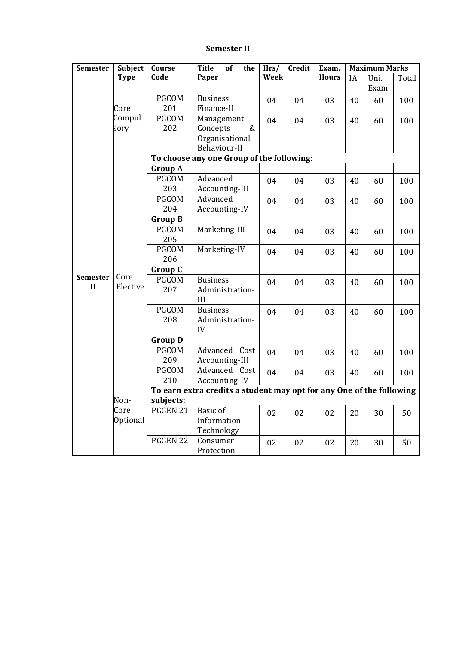### **Semester II**

| <b>Semester</b> | <b>Subject</b> | Course              | <b>Title</b><br><b>of</b><br>the                                     | Hrs/ | Credit | Exam.        |    | <b>Maximum Marks</b> |       |
|-----------------|----------------|---------------------|----------------------------------------------------------------------|------|--------|--------------|----|----------------------|-------|
|                 | <b>Type</b>    | Code                | Paper                                                                | Week |        | <b>Hours</b> | IA | Uni.                 | Total |
|                 |                |                     |                                                                      |      |        |              |    | Exam                 |       |
|                 |                | <b>PGCOM</b>        | <b>Business</b>                                                      | 04   | 04     | 03           | 40 | 60                   | 100   |
|                 | Core           | 201                 | Finance-II                                                           |      |        |              |    |                      |       |
|                 | Compul         | <b>PGCOM</b>        | Management                                                           | 04   | 04     | 03           | 40 | 60                   | 100   |
|                 | sory           | 202                 | Concepts<br>&                                                        |      |        |              |    |                      |       |
|                 |                |                     | Organisational                                                       |      |        |              |    |                      |       |
|                 |                |                     | Behaviour-II                                                         |      |        |              |    |                      |       |
|                 |                |                     | To choose any one Group of the following:                            |      |        |              |    |                      |       |
|                 |                | <b>Group A</b>      |                                                                      |      |        |              |    |                      |       |
|                 |                | <b>PGCOM</b>        | Advanced                                                             | 04   | 04     | 03           | 40 | 60                   | 100   |
|                 |                | 203                 | Accounting-III                                                       |      |        |              |    |                      |       |
|                 |                | <b>PGCOM</b>        | Advanced                                                             | 04   | 04     | 03           | 40 | 60                   | 100   |
|                 |                | 204                 | Accounting-IV                                                        |      |        |              |    |                      |       |
|                 |                | <b>Group B</b>      |                                                                      |      |        |              |    |                      |       |
|                 |                | <b>PGCOM</b>        | Marketing-III                                                        | 04   | 04     | 03           | 40 | 60                   | 100   |
|                 |                | 205                 |                                                                      |      |        |              |    |                      |       |
|                 |                | <b>PGCOM</b>        | Marketing-IV                                                         | 04   | 04     | 03           | 40 | 60                   | 100   |
|                 |                | 206                 |                                                                      |      |        |              |    |                      |       |
| <b>Semester</b> | Core           | <b>Group C</b>      |                                                                      |      |        |              |    |                      |       |
| $\mathbf{I}$    | Elective       | <b>PGCOM</b><br>207 | <b>Business</b>                                                      | 04   | 04     | 03           | 40 | 60                   | 100   |
|                 |                |                     | Administration-<br>III                                               |      |        |              |    |                      |       |
|                 |                | <b>PGCOM</b>        | <b>Business</b>                                                      |      |        |              |    |                      |       |
|                 |                | 208                 | Administration-                                                      | 04   | 04     | 03           | 40 | 60                   | 100   |
|                 |                |                     | IV                                                                   |      |        |              |    |                      |       |
|                 |                | <b>Group D</b>      |                                                                      |      |        |              |    |                      |       |
|                 |                | <b>PGCOM</b>        | Advanced Cost                                                        | 04   | 04     | 03           | 40 | 60                   | 100   |
|                 |                | 209                 | Accounting-III                                                       |      |        |              |    |                      |       |
|                 |                | <b>PGCOM</b>        | Advanced Cost                                                        | 04   | 04     | 03           | 40 | 60                   | 100   |
|                 |                | 210                 | Accounting-IV                                                        |      |        |              |    |                      |       |
|                 |                |                     | To earn extra credits a student may opt for any One of the following |      |        |              |    |                      |       |
|                 | Non-           | subjects:           |                                                                      |      |        |              |    |                      |       |
|                 | Core           | PGGEN 21            | <b>Basic</b> of                                                      | 02   | 02     | 02           | 20 | 30                   | 50    |
|                 | Optional       |                     | Information                                                          |      |        |              |    |                      |       |
|                 |                |                     | Technology                                                           |      |        |              |    |                      |       |
|                 |                | PGGEN 22            | Consumer                                                             | 02   | 02     | 02           | 20 | 30                   | 50    |
|                 |                |                     | Protection                                                           |      |        |              |    |                      |       |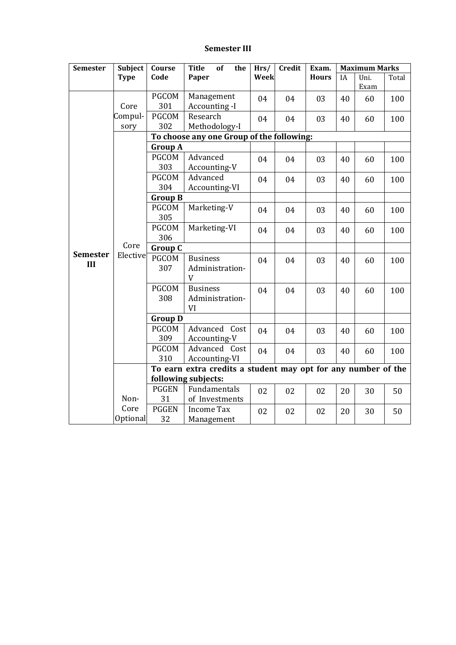### **Semester III**

| <b>Semester</b>        | Subject          | Course                                    | <b>Title</b><br>of<br>the                                                            | Hrs/ | Credit | Exam.        | <b>Maximum Marks</b> |              |       |  |  |  |
|------------------------|------------------|-------------------------------------------|--------------------------------------------------------------------------------------|------|--------|--------------|----------------------|--------------|-------|--|--|--|
|                        | <b>Type</b>      | Code                                      | Paper                                                                                | Week |        | <b>Hours</b> | IA                   | Uni.<br>Exam | Total |  |  |  |
|                        | Core             | <b>PGCOM</b><br>301                       | Management<br>Accounting -I                                                          | 04   | 04     | 03           | 40                   | 60           | 100   |  |  |  |
|                        | Compul-<br>sory  | <b>PGCOM</b><br>302                       | Research<br>Methodology-I                                                            | 04   | 04     | 03           | 40                   | 60           | 100   |  |  |  |
|                        |                  | To choose any one Group of the following: |                                                                                      |      |        |              |                      |              |       |  |  |  |
|                        |                  | <b>Group A</b>                            |                                                                                      |      |        |              |                      |              |       |  |  |  |
|                        |                  | <b>PGCOM</b><br>303                       | Advanced<br>Accounting-V                                                             | 04   | 04     | 03           | 40                   | 60           | 100   |  |  |  |
|                        |                  | <b>PGCOM</b><br>304                       | Advanced<br>Accounting-VI                                                            | 04   | 04     | 03           | 40                   | 60           | 100   |  |  |  |
|                        |                  | <b>Group B</b>                            |                                                                                      |      |        |              |                      |              |       |  |  |  |
|                        |                  | <b>PGCOM</b><br>305                       | Marketing-V                                                                          | 04   | 04     | 03           | 40                   | 60           | 100   |  |  |  |
|                        |                  | <b>PGCOM</b><br>306                       | Marketing-VI                                                                         | 04   | 04     | 03           | 40                   | 60           | 100   |  |  |  |
|                        | Core             | <b>Group C</b>                            |                                                                                      |      |        |              |                      |              |       |  |  |  |
| <b>Semester</b><br>III | Elective         | <b>PGCOM</b><br>307                       | <b>Business</b><br>Administration-<br>V                                              | 04   | 04     | 03           | 40                   | 60           | 100   |  |  |  |
|                        |                  | <b>PGCOM</b><br>308                       | <b>Business</b><br>Administration-<br>VI                                             | 04   | 04     | 03           | 40                   | 60           | 100   |  |  |  |
|                        |                  | <b>Group D</b>                            |                                                                                      |      |        |              |                      |              |       |  |  |  |
|                        |                  | <b>PGCOM</b><br>309                       | Advanced Cost<br>Accounting-V                                                        | 04   | 04     | 03           | 40                   | 60           | 100   |  |  |  |
|                        |                  | <b>PGCOM</b><br>310                       | Advanced Cost<br>Accounting-VI                                                       | 04   | 04     | 03           | 40                   | 60           | 100   |  |  |  |
|                        |                  |                                           | To earn extra credits a student may opt for any number of the<br>following subjects: |      |        |              |                      |              |       |  |  |  |
|                        | Non-             | <b>PGGEN</b><br>31                        | Fundamentals<br>of Investments                                                       | 02   | 02     | 02           | 20                   | 30           | 50    |  |  |  |
|                        | Core<br>Optional | <b>PGGEN</b><br>32                        | <b>Income Tax</b><br>Management                                                      | 02   | 02     | 02           | 20                   | 30           | 50    |  |  |  |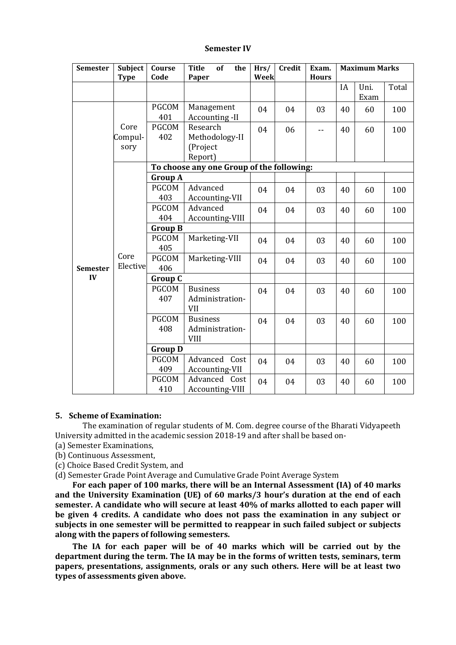#### **Semester IV**

| <b>Semester</b> | <b>Subject</b>          | Course<br>Code      | <b>Title</b><br>of<br>the                         | Hrs/<br>Week | <b>Credit</b> | Exam.        |    | <b>Maximum Marks</b> |       |
|-----------------|-------------------------|---------------------|---------------------------------------------------|--------------|---------------|--------------|----|----------------------|-------|
|                 | <b>Type</b>             |                     | Paper                                             |              |               | <b>Hours</b> | IA | Uni.<br>Exam         | Total |
|                 |                         | <b>PGCOM</b><br>401 | Management<br>Accounting -II                      | 04           | 04            | 03           | 40 | 60                   | 100   |
|                 | Core<br>Compul-<br>sory | <b>PGCOM</b><br>402 | Research<br>Methodology-II<br>(Project<br>Report) | 04           | 06            | $-$          | 40 | 60                   | 100   |
|                 |                         |                     | To choose any one Group of the following:         |              |               |              |    |                      |       |
|                 |                         | <b>Group A</b>      |                                                   |              |               |              |    |                      |       |
|                 |                         | <b>PGCOM</b><br>403 | Advanced<br>Accounting-VII                        | 04           | 04            | 03           | 40 | 60                   | 100   |
|                 | Core<br>Elective        | <b>PGCOM</b><br>404 | Advanced<br>Accounting-VIII                       | 04           | 04            | 03           | 40 | 60                   | 100   |
|                 |                         | <b>Group B</b>      |                                                   |              |               |              |    |                      |       |
|                 |                         | <b>PGCOM</b><br>405 | Marketing-VII                                     | 04           | 04            | 03           | 40 | 60                   | 100   |
| <b>Semester</b> |                         | <b>PGCOM</b><br>406 | Marketing-VIII                                    | 04           | 04            | 03           | 40 | 60                   | 100   |
| IV              |                         | <b>Group C</b>      |                                                   |              |               |              |    |                      |       |
|                 |                         | <b>PGCOM</b><br>407 | <b>Business</b><br>Administration-<br><b>VII</b>  | 04           | 04            | 03           | 40 | 60                   | 100   |
|                 |                         | <b>PGCOM</b><br>408 | <b>Business</b><br>Administration-<br><b>VIII</b> | 04           | 04            | 03           | 40 | 60                   | 100   |
|                 |                         | <b>Group D</b>      |                                                   |              |               |              |    |                      |       |
|                 |                         | <b>PGCOM</b><br>409 | Advanced Cost<br>Accounting-VII                   | 04           | 04            | 03           | 40 | 60                   | 100   |
|                 |                         | <b>PGCOM</b><br>410 | Advanced Cost<br>Accounting-VIII                  | 04           | 04            | 03           | 40 | 60                   | 100   |

#### **5. Scheme of Examination:**

The examination of regular students of M. Com. degree course of the Bharati Vidyapeeth University admitted in the academic session 2018-19 and after shall be based on-

- (a) Semester Examinations,
- (b) Continuous Assessment,
- (c) Choice Based Credit System, and
- (d) Semester Grade Point Average and Cumulative Grade Point Average System

**For each paper of 100 marks, there will be an Internal Assessment (IA) of 40 marks and the University Examination (UE) of 60 marks/3 hour's duration at the end of each semester. A candidate who will secure at least 40% of marks allotted to each paper will be given 4 credits. A candidate who does not pass the examination in any subject or subjects in one semester will be permitted to reappear in such failed subject or subjects along with the papers of following semesters.**

**The IA for each paper will be of 40 marks which will be carried out by the department during the term. The IA may be in the forms of written tests, seminars, term papers, presentations, assignments, orals or any such others. Here will be at least two types of assessments given above.**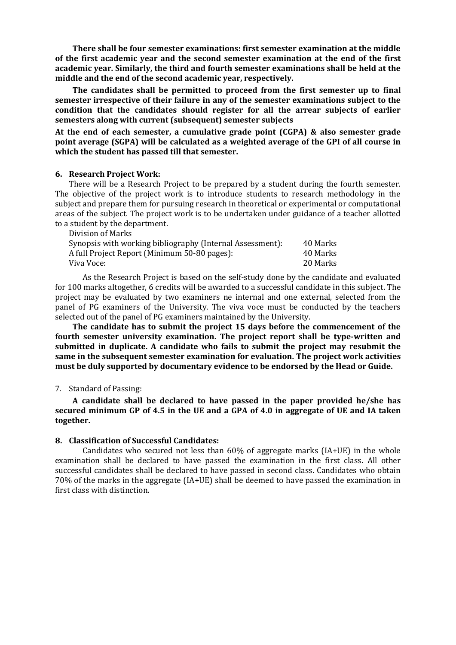**There shall be four semester examinations: first semester examination at the middle of the first academic year and the second semester examination at the end of the first academic year. Similarly, the third and fourth semester examinations shall be held at the middle and the end of the second academic year, respectively.** 

**The candidates shall be permitted to proceed from the first semester up to final semester irrespective of their failure in any of the semester examinations subject to the condition that the candidates should register for all the arrear subjects of earlier semesters along with current (subsequent) semester subjects**

**At the end of each semester, a cumulative grade point (CGPA) & also semester grade point average (SGPA) will be calculated as a weighted average of the GPI of all course in which the student has passed till that semester.**

#### **6. Research Project Work:**

There will be a Research Project to be prepared by a student during the fourth semester. The objective of the project work is to introduce students to research methodology in the subject and prepare them for pursuing research in theoretical or experimental or computational areas of the subject. The project work is to be undertaken under guidance of a teacher allotted to a student by the department. Division of Marks

| DIVISIOII OI MALKS                                        |          |
|-----------------------------------------------------------|----------|
| Synopsis with working bibliography (Internal Assessment): | 40 Marks |
| A full Project Report (Minimum 50-80 pages):              | 40 Marks |
| Viva Voce:                                                | 20 Marks |
|                                                           |          |

As the Research Project is based on the self-study done by the candidate and evaluated for 100 marks altogether, 6 credits will be awarded to a successful candidate in this subject. The project may be evaluated by two examiners ne internal and one external, selected from the panel of PG examiners of the University. The viva voce must be conducted by the teachers selected out of the panel of PG examiners maintained by the University.

**The candidate has to submit the project 15 days before the commencement of the fourth semester university examination. The project report shall be type-written and submitted in duplicate. A candidate who fails to submit the project may resubmit the same in the subsequent semester examination for evaluation. The project work activities must be duly supported by documentary evidence to be endorsed by the Head or Guide.**

#### 7. Standard of Passing:

**A candidate shall be declared to have passed in the paper provided he/she has secured minimum GP of 4.5 in the UE and a GPA of 4.0 in aggregate of UE and IA taken together.**

#### **8. Classification of Successful Candidates:**

Candidates who secured not less than 60% of aggregate marks (IA+UE) in the whole examination shall be declared to have passed the examination in the first class. All other successful candidates shall be declared to have passed in second class. Candidates who obtain 70% of the marks in the aggregate (IA+UE) shall be deemed to have passed the examination in first class with distinction.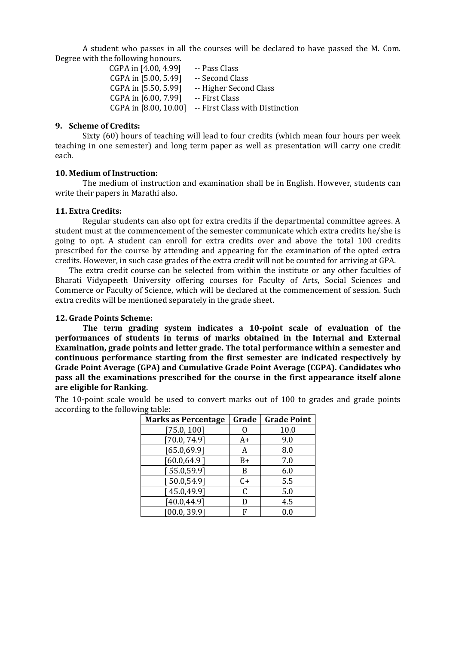A student who passes in all the courses will be declared to have passed the M. Com. Degree with the following honours.

> CGPA in [4.00, 4.99] -- Pass Class CGPA in [5.00, 5.49] -- Second Class CGPA in [5.50, 5.99] -- Higher Second Class CGPA in [6.00, 7.99] -- First Class CGPA in [8.00, 10.00] -- First Class with Distinction

#### **9. Scheme of Credits:**

Sixty (60) hours of teaching will lead to four credits (which mean four hours per week teaching in one semester) and long term paper as well as presentation will carry one credit each.

#### **10. Medium of Instruction:**

The medium of instruction and examination shall be in English. However, students can write their papers in Marathi also.

#### **11. Extra Credits:**

Regular students can also opt for extra credits if the departmental committee agrees. A student must at the commencement of the semester communicate which extra credits he/she is going to opt. A student can enroll for extra credits over and above the total 100 credits prescribed for the course by attending and appearing for the examination of the opted extra credits. However, in such case grades of the extra credit will not be counted for arriving at GPA.

The extra credit course can be selected from within the institute or any other faculties of Bharati Vidyapeeth University offering courses for Faculty of Arts, Social Sciences and Commerce or Faculty of Science, which will be declared at the commencement of session. Such extra credits will be mentioned separately in the grade sheet.

#### **12. Grade Points Scheme:**

**The term grading system indicates a 10-point scale of evaluation of the performances of students in terms of marks obtained in the Internal and External Examination, grade points and letter grade. The total performance within a semester and continuous performance starting from the first semester are indicated respectively by Grade Point Average (GPA) and Cumulative Grade Point Average (CGPA). Candidates who pass all the examinations prescribed for the course in the first appearance itself alone are eligible for Ranking.**

The 10-point scale would be used to convert marks out of 100 to grades and grade points according to the following table:

| <b>Marks as Percentage</b> | Grade | <b>Grade Point</b> |
|----------------------------|-------|--------------------|
| [75.0, 100]                |       | 10.0               |
| [70.0, 74.9]               | A+    | 9.0                |
| [65.0, 69.9]               | А     | 8.0                |
| [60.0, 64.9]               | $B+$  | 7.0                |
| [55.0, 59.9]               | B     | 6.0                |
| [50.0, 54.9]               | C+    | 5.5                |
| [45.0, 49.9]               | C     | 5.0                |
| [40.0, 44.9]               | D     | 4.5                |
| [00.0, 39.9]               |       | 0.0                |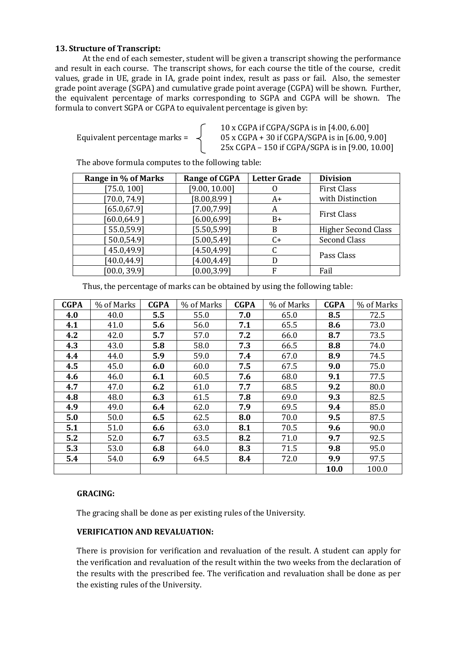### **13. Structure of Transcript:**

At the end of each semester, student will be given a transcript showing the performance and result in each course. The transcript shows, for each course the title of the course, credit values, grade in UE, grade in IA, grade point index, result as pass or fail. Also, the semester grade point average (SGPA) and cumulative grade point average (CGPA) will be shown. Further, the equivalent percentage of marks corresponding to SGPA and CGPA will be shown. The formula to convert SGPA or CGPA to equivalent percentage is given by:

10 x CGPA if CGPA/SGPA is in [4.00, 6.00] Equivalent percentage marks =  $\prec$  05 x CGPA + 30 if CGPA/SGPA is in [6.00, 9.00] 25x CGPA – 150 if CGPA/SGPA is in [9.00, 10.00]

The above formula computes to the following table:

| Range in % of Marks | <b>Range of CGPA</b> | <b>Letter Grade</b> | <b>Division</b>            |  |
|---------------------|----------------------|---------------------|----------------------------|--|
| [75.0, 100]         | [9.00, 10.00]        |                     | <b>First Class</b>         |  |
| [70.0, 74.9]        | [8.00, 8.99]         | A+                  | with Distinction           |  |
| [65.0, 67.9]        | [7.00, 7.99]         | A                   | <b>First Class</b>         |  |
| [60.0, 64.9]        | [6.00, 6.99]         | $B+$                |                            |  |
| 55.0,59.9]          | [5.50, 5.99]         | B                   | <b>Higher Second Class</b> |  |
| 50.0,54.9           | [5.00, 5.49]         | $C+$                | <b>Second Class</b>        |  |
| 45.0,49.9]          | [4.50, 4.99]         |                     |                            |  |
| [40.0, 44.9]        | [4.00, 4.49]         | D                   | Pass Class                 |  |
| [00.0, 39.9]        | [0.00, 3.99]         | F                   | Fail                       |  |

Thus, the percentage of marks can be obtained by using the following table:

| <b>CGPA</b> | % of Marks | <b>CGPA</b> | % of Marks | <b>CGPA</b> | % of Marks | <b>CGPA</b> | % of Marks |
|-------------|------------|-------------|------------|-------------|------------|-------------|------------|
| 4.0         | 40.0       | 5.5         | 55.0       | 7.0         | 65.0       | 8.5         | 72.5       |
| 4.1         | 41.0       | 5.6         | 56.0       | 7.1         | 65.5       | 8.6         | 73.0       |
| 4.2         | 42.0       | 5.7         | 57.0       | 7.2         | 66.0       | 8.7         | 73.5       |
| 4.3         | 43.0       | 5.8         | 58.0       | 7.3         | 66.5       | 8.8         | 74.0       |
| 4.4         | 44.0       | 5.9         | 59.0       | 7.4         | 67.0       | 8.9         | 74.5       |
| 4.5         | 45.0       | 6.0         | 60.0       | 7.5         | 67.5       | 9.0         | 75.0       |
| 4.6         | 46.0       | 6.1         | 60.5       | 7.6         | 68.0       | 9.1         | 77.5       |
| 4.7         | 47.0       | 6.2         | 61.0       | 7.7         | 68.5       | 9.2         | 80.0       |
| 4.8         | 48.0       | 6.3         | 61.5       | 7.8         | 69.0       | 9.3         | 82.5       |
| 4.9         | 49.0       | 6.4         | 62.0       | 7.9         | 69.5       | 9.4         | 85.0       |
| 5.0         | 50.0       | 6.5         | 62.5       | 8.0         | 70.0       | 9.5         | 87.5       |
| 5.1         | 51.0       | 6.6         | 63.0       | 8.1         | 70.5       | 9.6         | 90.0       |
| 5.2         | 52.0       | 6.7         | 63.5       | 8.2         | 71.0       | 9.7         | 92.5       |
| 5.3         | 53.0       | 6.8         | 64.0       | 8.3         | 71.5       | 9.8         | 95.0       |
| 5.4         | 54.0       | 6.9         | 64.5       | 8.4         | 72.0       | 9.9         | 97.5       |
|             |            |             |            |             |            | 10.0        | 100.0      |

### **GRACING:**

The gracing shall be done as per existing rules of the University.

### **VERIFICATION AND REVALUATION:**

There is provision for verification and revaluation of the result. A student can apply for the verification and revaluation of the result within the two weeks from the declaration of the results with the prescribed fee. The verification and revaluation shall be done as per the existing rules of the University.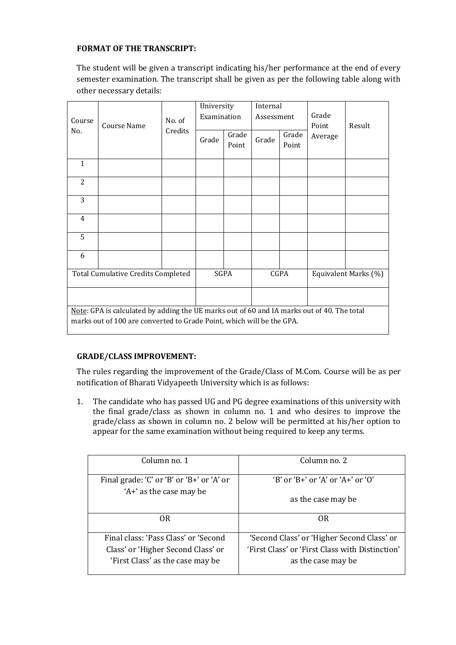### **FORMAT OF THE TRANSCRIPT:**

The student will be given a transcript indicating his/her performance at the end of every semester examination. The transcript shall be given as per the following table along with other necessary details:

|                                                                                            |                                                                       |         |             | University |            | Internal    |                      |        |
|--------------------------------------------------------------------------------------------|-----------------------------------------------------------------------|---------|-------------|------------|------------|-------------|----------------------|--------|
| Course                                                                                     |                                                                       | No. of  | Examination |            | Assessment |             | Grade                |        |
| No.                                                                                        | Course Name                                                           | Credits |             |            |            |             | Point                | Result |
|                                                                                            |                                                                       |         | Grade       | Grade      | Grade      | Grade       | Average              |        |
|                                                                                            |                                                                       |         |             | Point      |            | Point       |                      |        |
| 1                                                                                          |                                                                       |         |             |            |            |             |                      |        |
|                                                                                            |                                                                       |         |             |            |            |             |                      |        |
| 2                                                                                          |                                                                       |         |             |            |            |             |                      |        |
|                                                                                            |                                                                       |         |             |            |            |             |                      |        |
| 3                                                                                          |                                                                       |         |             |            |            |             |                      |        |
| $\overline{4}$                                                                             |                                                                       |         |             |            |            |             |                      |        |
| 5                                                                                          |                                                                       |         |             |            |            |             |                      |        |
|                                                                                            |                                                                       |         |             |            |            |             |                      |        |
| 6                                                                                          |                                                                       |         |             |            |            |             |                      |        |
|                                                                                            |                                                                       |         |             |            |            |             |                      |        |
| <b>Total Cumulative Credits Completed</b>                                                  |                                                                       |         | <b>SGPA</b> |            |            | <b>CGPA</b> | Equivalent Marks (%) |        |
|                                                                                            |                                                                       |         |             |            |            |             |                      |        |
| Note: GPA is calculated by adding the UE marks out of 60 and IA marks out of 40. The total |                                                                       |         |             |            |            |             |                      |        |
|                                                                                            | marks out of 100 are converted to Grade Point, which will be the GPA. |         |             |            |            |             |                      |        |
|                                                                                            |                                                                       |         |             |            |            |             |                      |        |

### **GRADE/CLASS IMPROVEMENT:**

The rules regarding the improvement of the Grade/Class of M.Com. Course will be as per notification of Bharati Vidyapeeth University which is as follows:

1. The candidate who has passed UG and PG degree examinations of this university with the final grade/class as shown in column no. 1 and who desires to improve the grade/class as shown in column no. 2 below will be permitted at his/her option to appear for the same examination without being required to keep any terms.

| Column no. 1                              | Column no. 2                                    |
|-------------------------------------------|-------------------------------------------------|
| Final grade: 'C' or 'B' or 'B+' or 'A' or | $B'$ or $B'$ or $A'$ or $A'$ or $B'$            |
| 'A+' as the case may be                   | as the case may be                              |
| 0R                                        | 0 <sub>R</sub>                                  |
| Final class: 'Pass Class' or 'Second      | 'Second Class' or 'Higher Second Class' or      |
| Class' or 'Higher Second Class' or        | 'First Class' or 'First Class with Distinction' |
| 'First Class' as the case may be          | as the case may be                              |